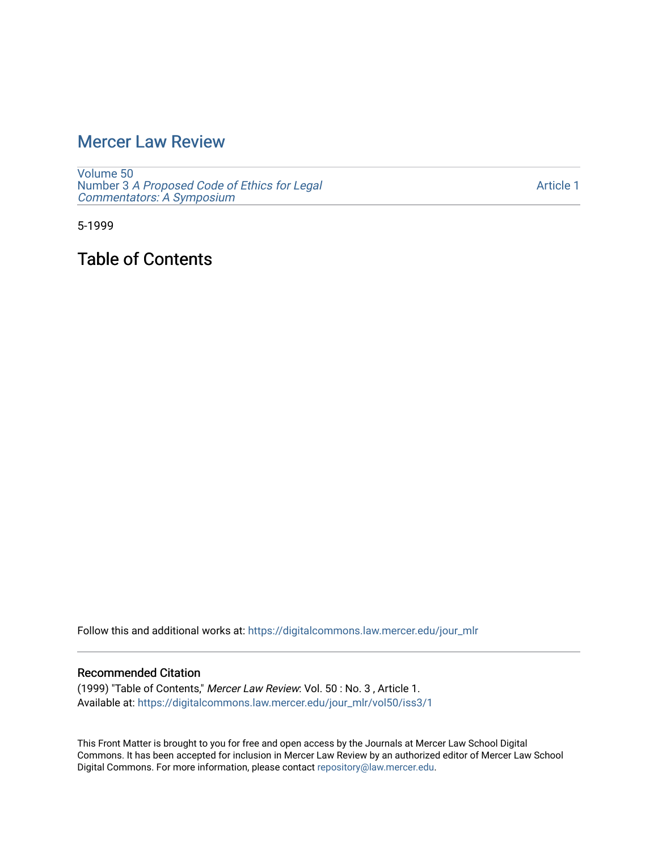# [Mercer Law Review](https://digitalcommons.law.mercer.edu/jour_mlr)

[Volume 50](https://digitalcommons.law.mercer.edu/jour_mlr/vol50) Number 3 [A Proposed Code of Ethics for Legal](https://digitalcommons.law.mercer.edu/jour_mlr/vol50/iss3) [Commentators: A Symposium](https://digitalcommons.law.mercer.edu/jour_mlr/vol50/iss3)

[Article 1](https://digitalcommons.law.mercer.edu/jour_mlr/vol50/iss3/1) 

5-1999

Table of Contents

Follow this and additional works at: [https://digitalcommons.law.mercer.edu/jour\\_mlr](https://digitalcommons.law.mercer.edu/jour_mlr?utm_source=digitalcommons.law.mercer.edu%2Fjour_mlr%2Fvol50%2Fiss3%2F1&utm_medium=PDF&utm_campaign=PDFCoverPages)

#### Recommended Citation

(1999) "Table of Contents," Mercer Law Review: Vol. 50 : No. 3 , Article 1. Available at: [https://digitalcommons.law.mercer.edu/jour\\_mlr/vol50/iss3/1](https://digitalcommons.law.mercer.edu/jour_mlr/vol50/iss3/1?utm_source=digitalcommons.law.mercer.edu%2Fjour_mlr%2Fvol50%2Fiss3%2F1&utm_medium=PDF&utm_campaign=PDFCoverPages)

This Front Matter is brought to you for free and open access by the Journals at Mercer Law School Digital Commons. It has been accepted for inclusion in Mercer Law Review by an authorized editor of Mercer Law School Digital Commons. For more information, please contact [repository@law.mercer.edu](mailto:repository@law.mercer.edu).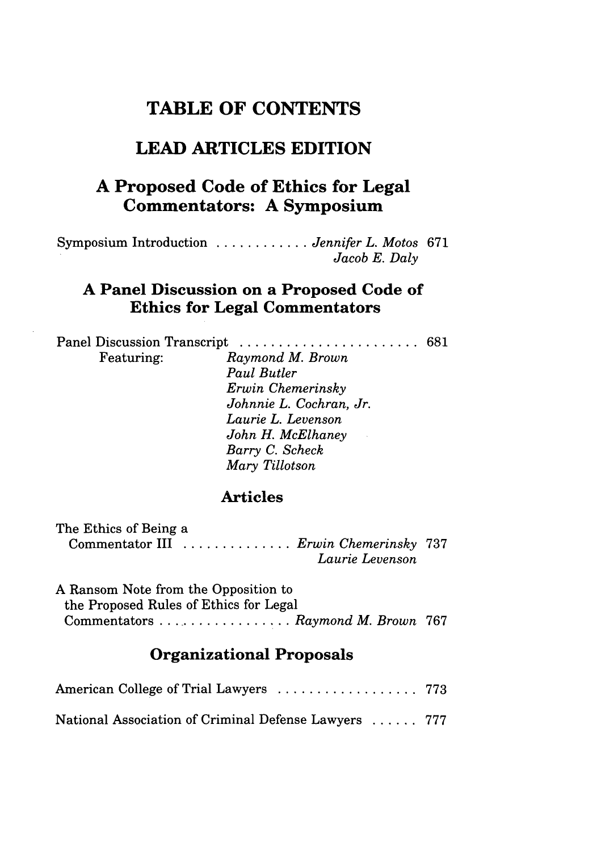## **TABLE OF CONTENTS**

# **LEAD ARTICLES EDITION**

### **A Proposed Code of Ethics for Legal Commentators: A Symposium**

Symposium Introduction ............ *Jennifer L. Motos* **671** *Jacob E. Daly*

### **A Panel Discussion on a Proposed Code of Ethics for Legal Commentators**

| Featuring: | Raymond M. Brown        |  |
|------------|-------------------------|--|
|            | Paul Butler             |  |
|            | Erwin Chemerinsky       |  |
|            | Johnnie L. Cochran, Jr. |  |
|            | Laurie L. Levenson      |  |
|            | John H. McElhaney       |  |
|            | Barry C. Scheck         |  |
|            | Mary Tillotson          |  |
|            |                         |  |

#### **Articles**

| The Ethics of Being a                        |                 |  |
|----------------------------------------------|-----------------|--|
| Commentator III <i>Erwin Chemerinsky</i> 737 |                 |  |
|                                              | Laurie Levenson |  |

A Ransom Note from the Opposition to the Proposed Rules of Ethics for Legal Commentators .................. *Raymond M. Brown* 767

### **Organizational Proposals**

| National Association of Criminal Defense Lawyers  777 |  |
|-------------------------------------------------------|--|